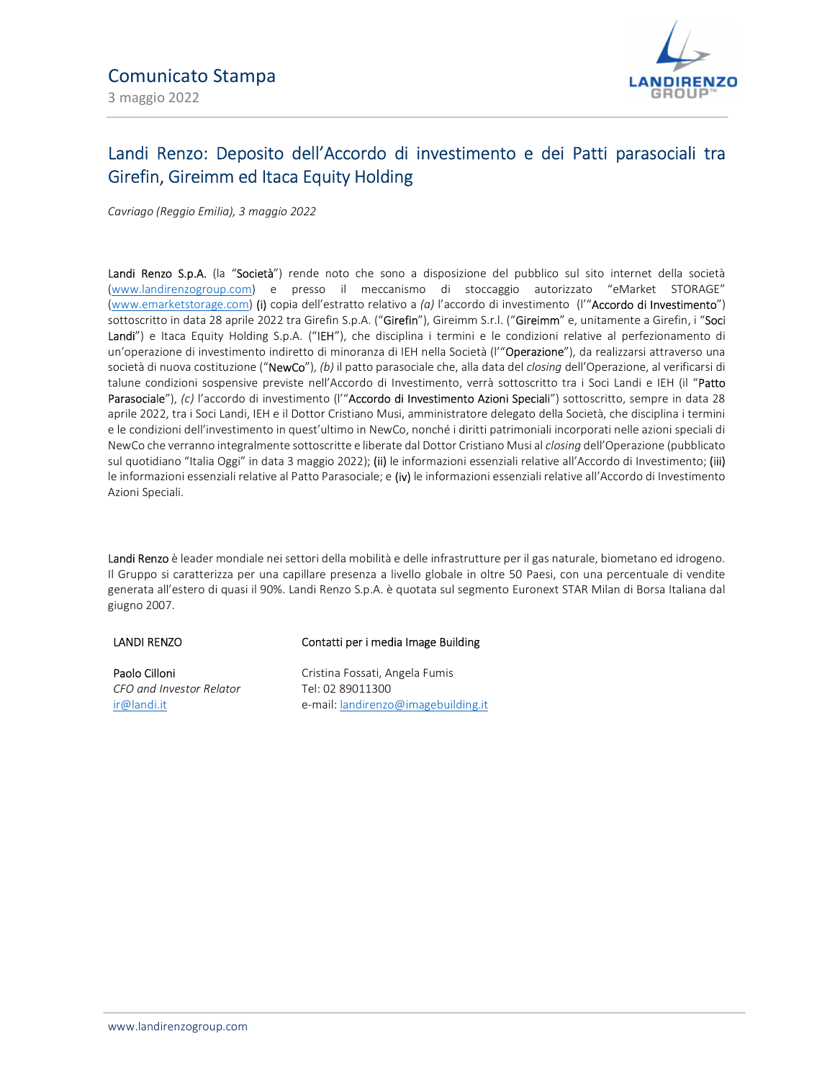

# Landi Renzo: Deposito dell'Accordo di investimento e dei Patti parasociali tra Girefin, Gireimm ed Itaca Equity Holding

Cavriago (Reggio Emilia), 3 maggio 2022

Landi Renzo S.p.A. (la "Società") rende noto che sono a disposizione del pubblico sul sito internet della società (www.landirenzogroup.com) e presso il meccanismo di stoccaggio autorizzato "eMarket STORAGE" (www.emarketstorage.com) (i) copia dell'estratto relativo a (a) l'accordo di investimento (l'"Accordo di Investimento") sottoscritto in data 28 aprile 2022 tra Girefin S.p.A. ("Girefin"), Gireimm S.r.l. ("Gireimm" e, unitamente a Girefin, i "Soci Landi") e Itaca Equity Holding S.p.A. ("IEH"), che disciplina i termini e le condizioni relative al perfezionamento di un'operazione di investimento indiretto di minoranza di IEH nella Società (l'"Operazione"), da realizzarsi attraverso una società di nuova costituzione ("NewCo"), (b) il patto parasociale che, alla data del closing dell'Operazione, al verificarsi di talune condizioni sospensive previste nell'Accordo di Investimento, verrà sottoscritto tra i Soci Landi e IEH (il "Patto Parasociale"), (c) l'accordo di investimento (l'"Accordo di Investimento Azioni Speciali") sottoscritto, sempre in data 28 aprile 2022, tra i Soci Landi, IEH e il Dottor Cristiano Musi, amministratore delegato della Società, che disciplina i termini e le condizioni dell'investimento in quest'ultimo in NewCo, nonché i diritti patrimoniali incorporati nelle azioni speciali di NewCo che verranno integralmente sottoscritte e liberate dal Dottor Cristiano Musi al closing dell'Operazione (pubblicato sul quotidiano "Italia Oggi" in data 3 maggio 2022); (ii) le informazioni essenziali relative all'Accordo di Investimento; (iii) le informazioni essenziali relative al Patto Parasociale; e (iv) le informazioni essenziali relative all'Accordo di Investimento Azioni Speciali.

Landi Renzo è leader mondiale nei settori della mobilità e delle infrastrutture per il gas naturale, biometano ed idrogeno. Il Gruppo si caratterizza per una capillare presenza a livello globale in oltre 50 Paesi, con una percentuale di vendite generata all'estero di quasi il 90%. Landi Renzo S.p.A. è quotata sul segmento Euronext STAR Milan di Borsa Italiana dal giugno 2007.

### LANDI RENZO

## Contatti per i media Image Building

Paolo Cilloni CFO and Investor Relator ir@landi.it

Cristina Fossati, Angela Fumis Tel: 02 89011300 e-mail: landirenzo@imagebuilding.it